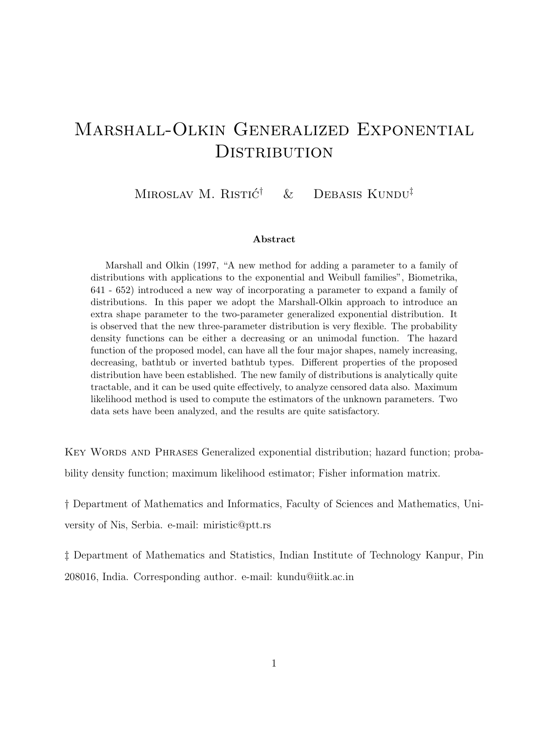# Marshall-Olkin Generalized Exponential **DISTRIBUTION**

MIROSLAV M. RISTIĆ<sup>†</sup>  $&$  DEBASIS KUNDU<sup>‡</sup>

#### Abstract

Marshall and Olkin (1997, "A new method for adding a parameter to a family of distributions with applications to the exponential and Weibull families", Biometrika, 641 - 652) introduced a new way of incorporating a parameter to expand a family of distributions. In this paper we adopt the Marshall-Olkin approach to introduce an extra shape parameter to the two-parameter generalized exponential distribution. It is observed that the new three-parameter distribution is very flexible. The probability density functions can be either a decreasing or an unimodal function. The hazard function of the proposed model, can have all the four major shapes, namely increasing, decreasing, bathtub or inverted bathtub types. Different properties of the proposed distribution have been established. The new family of distributions is analytically quite tractable, and it can be used quite effectively, to analyze censored data also. Maximum likelihood method is used to compute the estimators of the unknown parameters. Two data sets have been analyzed, and the results are quite satisfactory.

KEY WORDS AND PHRASES Generalized exponential distribution; hazard function; probability density function; maximum likelihood estimator; Fisher information matrix.

† Department of Mathematics and Informatics, Faculty of Sciences and Mathematics, University of Nis, Serbia. e-mail: miristic@ptt.rs

‡ Department of Mathematics and Statistics, Indian Institute of Technology Kanpur, Pin 208016, India. Corresponding author. e-mail: kundu@iitk.ac.in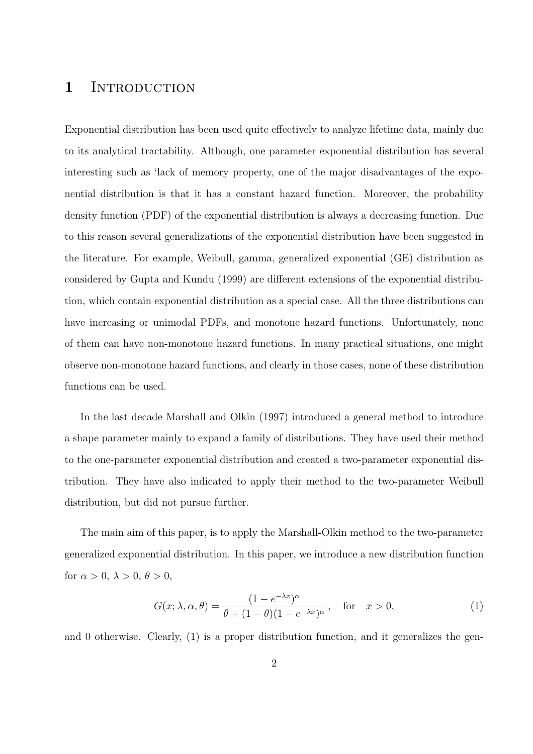## 1 INTRODUCTION

Exponential distribution has been used quite effectively to analyze lifetime data, mainly due to its analytical tractability. Although, one parameter exponential distribution has several interesting such as 'lack of memory property, one of the major disadvantages of the exponential distribution is that it has a constant hazard function. Moreover, the probability density function (PDF) of the exponential distribution is always a decreasing function. Due to this reason several generalizations of the exponential distribution have been suggested in the literature. For example, Weibull, gamma, generalized exponential (GE) distribution as considered by Gupta and Kundu (1999) are different extensions of the exponential distribution, which contain exponential distribution as a special case. All the three distributions can have increasing or unimodal PDFs, and monotone hazard functions. Unfortunately, none of them can have non-monotone hazard functions. In many practical situations, one might observe non-monotone hazard functions, and clearly in those cases, none of these distribution functions can be used.

In the last decade Marshall and Olkin (1997) introduced a general method to introduce a shape parameter mainly to expand a family of distributions. They have used their method to the one-parameter exponential distribution and created a two-parameter exponential distribution. They have also indicated to apply their method to the two-parameter Weibull distribution, but did not pursue further.

The main aim of this paper, is to apply the Marshall-Olkin method to the two-parameter generalized exponential distribution. In this paper, we introduce a new distribution function for  $\alpha > 0$ ,  $\lambda > 0$ ,  $\theta > 0$ ,

$$
G(x; \lambda, \alpha, \theta) = \frac{(1 - e^{-\lambda x})^{\alpha}}{\theta + (1 - \theta)(1 - e^{-\lambda x})^{\alpha}}, \text{ for } x > 0,
$$
 (1)

and 0 otherwise. Clearly, (1) is a proper distribution function, and it generalizes the gen-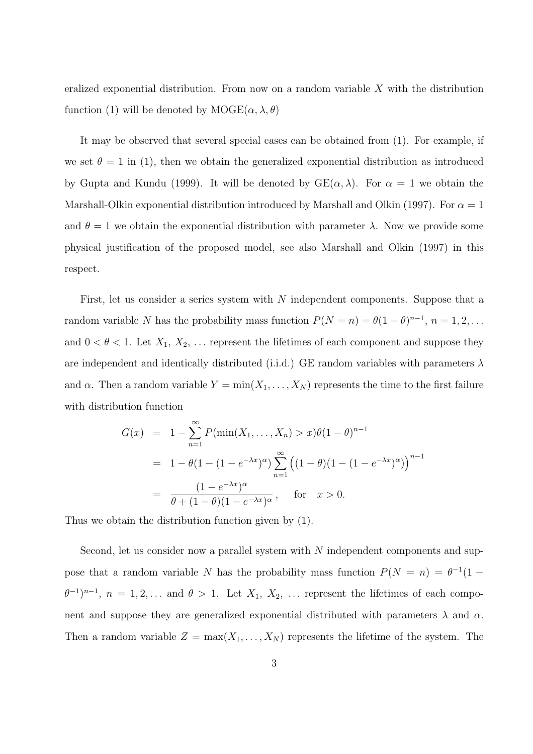eralized exponential distribution. From now on a random variable  $X$  with the distribution function (1) will be denoted by  $\text{MOGE}(\alpha, \lambda, \theta)$ 

It may be observed that several special cases can be obtained from (1). For example, if we set  $\theta = 1$  in (1), then we obtain the generalized exponential distribution as introduced by Gupta and Kundu (1999). It will be denoted by  $GE(\alpha, \lambda)$ . For  $\alpha = 1$  we obtain the Marshall-Olkin exponential distribution introduced by Marshall and Olkin (1997). For  $\alpha = 1$ and  $\theta = 1$  we obtain the exponential distribution with parameter  $\lambda$ . Now we provide some physical justification of the proposed model, see also Marshall and Olkin (1997) in this respect.

First, let us consider a series system with N independent components. Suppose that a random variable N has the probability mass function  $P(N = n) = \theta(1 - \theta)^{n-1}$ ,  $n = 1, 2, ...$ and  $0 < \theta < 1$ . Let  $X_1, X_2, \ldots$  represent the lifetimes of each component and suppose they are independent and identically distributed (i.i.d.) GE random variables with parameters  $\lambda$ and  $\alpha$ . Then a random variable  $Y = \min(X_1, \ldots, X_N)$  represents the time to the first failure with distribution function

$$
G(x) = 1 - \sum_{n=1}^{\infty} P(\min(X_1, ..., X_n) > x) \theta (1 - \theta)^{n-1}
$$
  
=  $1 - \theta (1 - (1 - e^{-\lambda x})^{\alpha}) \sum_{n=1}^{\infty} ((1 - \theta)(1 - (1 - e^{-\lambda x})^{\alpha}))^{n-1}$   
=  $\frac{(1 - e^{-\lambda x})^{\alpha}}{\theta + (1 - \theta)(1 - e^{-\lambda x})^{\alpha}}, \text{ for } x > 0.$ 

Thus we obtain the distribution function given by (1).

Second, let us consider now a parallel system with N independent components and suppose that a random variable N has the probability mass function  $P(N = n) = \theta^{-1}(1 (\theta^{-1})^{n-1}$ ,  $n = 1, 2, \ldots$  and  $\theta > 1$ . Let  $X_1, X_2, \ldots$  represent the lifetimes of each component and suppose they are generalized exponential distributed with parameters  $\lambda$  and  $\alpha$ . Then a random variable  $Z = \max(X_1, \ldots, X_N)$  represents the lifetime of the system. The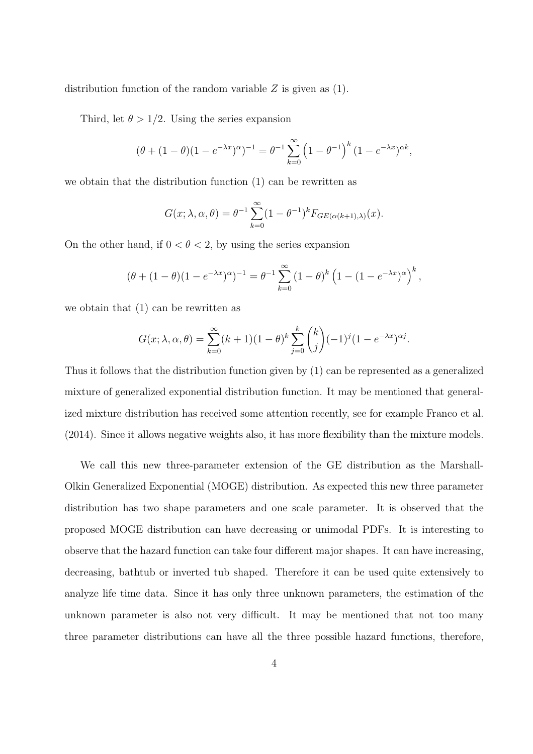distribution function of the random variable  $Z$  is given as  $(1)$ .

Third, let  $\theta > 1/2$ . Using the series expansion

$$
(\theta + (1 - \theta)(1 - e^{-\lambda x})^{\alpha})^{-1} = \theta^{-1} \sum_{k=0}^{\infty} (1 - \theta^{-1})^k (1 - e^{-\lambda x})^{\alpha k},
$$

we obtain that the distribution function (1) can be rewritten as

$$
G(x; \lambda, \alpha, \theta) = \theta^{-1} \sum_{k=0}^{\infty} (1 - \theta^{-1})^k F_{GE(\alpha(k+1), \lambda)}(x).
$$

On the other hand, if  $0 < \theta < 2$ , by using the series expansion

$$
(\theta + (1 - \theta)(1 - e^{-\lambda x})^{\alpha})^{-1} = \theta^{-1} \sum_{k=0}^{\infty} (1 - \theta)^{k} \left(1 - (1 - e^{-\lambda x})^{\alpha}\right)^{k},
$$

we obtain that (1) can be rewritten as

$$
G(x; \lambda, \alpha, \theta) = \sum_{k=0}^{\infty} (k+1)(1-\theta)^k \sum_{j=0}^k {k \choose j} (-1)^j (1-e^{-\lambda x})^{\alpha j}.
$$

Thus it follows that the distribution function given by (1) can be represented as a generalized mixture of generalized exponential distribution function. It may be mentioned that generalized mixture distribution has received some attention recently, see for example Franco et al. (2014). Since it allows negative weights also, it has more flexibility than the mixture models.

We call this new three-parameter extension of the GE distribution as the Marshall-Olkin Generalized Exponential (MOGE) distribution. As expected this new three parameter distribution has two shape parameters and one scale parameter. It is observed that the proposed MOGE distribution can have decreasing or unimodal PDFs. It is interesting to observe that the hazard function can take four different major shapes. It can have increasing, decreasing, bathtub or inverted tub shaped. Therefore it can be used quite extensively to analyze life time data. Since it has only three unknown parameters, the estimation of the unknown parameter is also not very difficult. It may be mentioned that not too many three parameter distributions can have all the three possible hazard functions, therefore,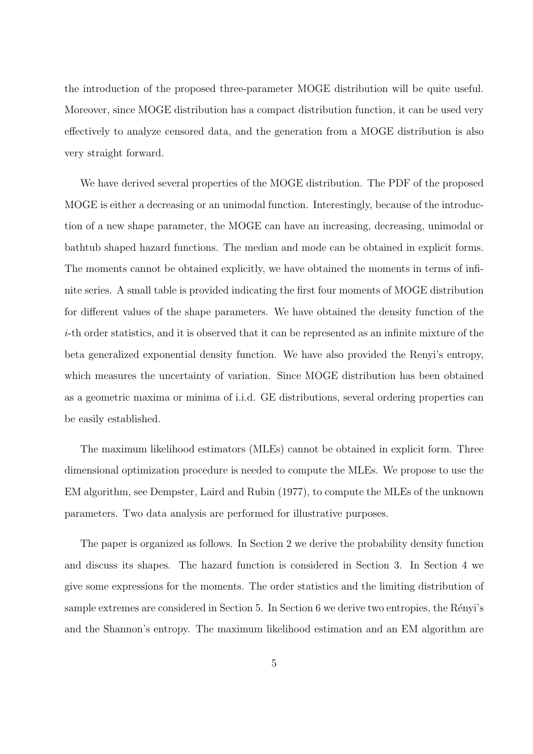the introduction of the proposed three-parameter MOGE distribution will be quite useful. Moreover, since MOGE distribution has a compact distribution function, it can be used very effectively to analyze censored data, and the generation from a MOGE distribution is also very straight forward.

We have derived several properties of the MOGE distribution. The PDF of the proposed MOGE is either a decreasing or an unimodal function. Interestingly, because of the introduction of a new shape parameter, the MOGE can have an increasing, decreasing, unimodal or bathtub shaped hazard functions. The median and mode can be obtained in explicit forms. The moments cannot be obtained explicitly, we have obtained the moments in terms of infinite series. A small table is provided indicating the first four moments of MOGE distribution for different values of the shape parameters. We have obtained the density function of the i-th order statistics, and it is observed that it can be represented as an infinite mixture of the beta generalized exponential density function. We have also provided the Renyi's entropy, which measures the uncertainty of variation. Since MOGE distribution has been obtained as a geometric maxima or minima of i.i.d. GE distributions, several ordering properties can be easily established.

The maximum likelihood estimators (MLEs) cannot be obtained in explicit form. Three dimensional optimization procedure is needed to compute the MLEs. We propose to use the EM algorithm, see Dempster, Laird and Rubin (1977), to compute the MLEs of the unknown parameters. Two data analysis are performed for illustrative purposes.

The paper is organized as follows. In Section 2 we derive the probability density function and discuss its shapes. The hazard function is considered in Section 3. In Section 4 we give some expressions for the moments. The order statistics and the limiting distribution of sample extremes are considered in Section 5. In Section 6 we derive two entropies, the Rényi's and the Shannon's entropy. The maximum likelihood estimation and an EM algorithm are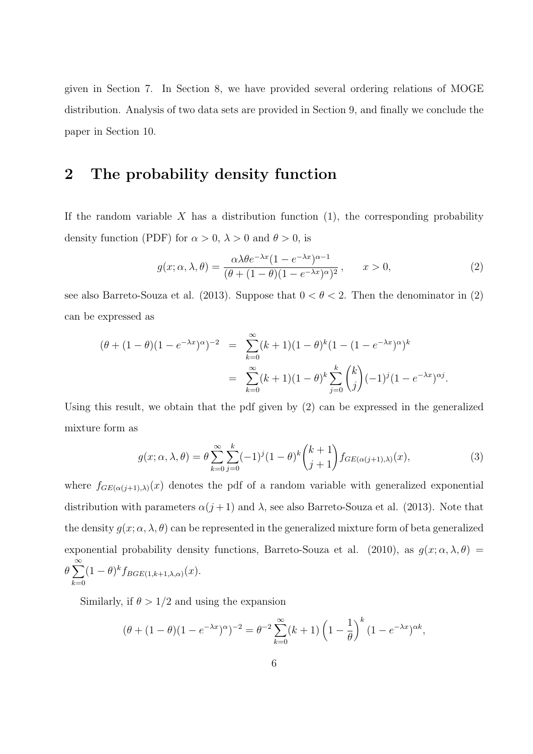given in Section 7. In Section 8, we have provided several ordering relations of MOGE distribution. Analysis of two data sets are provided in Section 9, and finally we conclude the paper in Section 10.

## 2 The probability density function

If the random variable  $X$  has a distribution function  $(1)$ , the corresponding probability density function (PDF) for  $\alpha > 0$ ,  $\lambda > 0$  and  $\theta > 0$ , is

$$
g(x; \alpha, \lambda, \theta) = \frac{\alpha \lambda \theta e^{-\lambda x} (1 - e^{-\lambda x})^{\alpha - 1}}{(\theta + (1 - \theta)(1 - e^{-\lambda x})^{\alpha})^2}, \qquad x > 0,
$$
\n
$$
(2)
$$

see also Barreto-Souza et al. (2013). Suppose that  $0 < \theta < 2$ . Then the denominator in (2) can be expressed as

$$
(\theta + (1 - \theta)(1 - e^{-\lambda x})^{\alpha})^{-2} = \sum_{k=0}^{\infty} (k+1)(1 - \theta)^k (1 - (1 - e^{-\lambda x})^{\alpha})^k
$$
  
= 
$$
\sum_{k=0}^{\infty} (k+1)(1 - \theta)^k \sum_{j=0}^k {k \choose j} (-1)^j (1 - e^{-\lambda x})^{\alpha j}.
$$

Using this result, we obtain that the pdf given by (2) can be expressed in the generalized mixture form as

$$
g(x; \alpha, \lambda, \theta) = \theta \sum_{k=0}^{\infty} \sum_{j=0}^{k} (-1)^j (1-\theta)^k {k+1 \choose j+1} f_{GE(\alpha(j+1),\lambda)}(x), \qquad (3)
$$

where  $f_{GE(\alpha(j+1),\lambda)}(x)$  denotes the pdf of a random variable with generalized exponential distribution with parameters  $\alpha(j+1)$  and  $\lambda$ , see also Barreto-Souza et al. (2013). Note that the density  $g(x; \alpha, \lambda, \theta)$  can be represented in the generalized mixture form of beta generalized exponential probability density functions, Barreto-Souza et al. (2010), as  $g(x; \alpha, \lambda, \theta)$  $\theta \sum_{n=1}^{\infty}$  $k=0$  $(1 - \theta)^k f_{BGE(1,k+1,\lambda,\alpha)}(x).$ 

Similarly, if  $\theta > 1/2$  and using the expansion

$$
(\theta + (1 - \theta)(1 - e^{-\lambda x})^{\alpha})^{-2} = \theta^{-2} \sum_{k=0}^{\infty} (k+1) \left(1 - \frac{1}{\theta}\right)^k (1 - e^{-\lambda x})^{\alpha k},
$$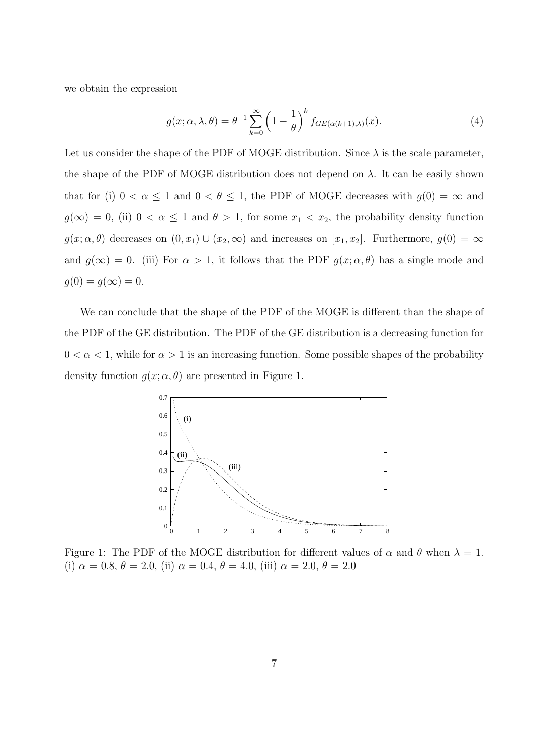we obtain the expression

$$
g(x; \alpha, \lambda, \theta) = \theta^{-1} \sum_{k=0}^{\infty} \left( 1 - \frac{1}{\theta} \right)^k f_{GE(\alpha(k+1), \lambda)}(x).
$$
 (4)

Let us consider the shape of the PDF of MOGE distribution. Since  $\lambda$  is the scale parameter, the shape of the PDF of MOGE distribution does not depend on  $\lambda$ . It can be easily shown that for (i)  $0 < \alpha \leq 1$  and  $0 < \theta \leq 1$ , the PDF of MOGE decreases with  $g(0) = \infty$  and  $g(\infty) = 0$ , (ii)  $0 < \alpha \le 1$  and  $\theta > 1$ , for some  $x_1 < x_2$ , the probability density function  $g(x; \alpha, \theta)$  decreases on  $(0, x_1) \cup (x_2, \infty)$  and increases on  $[x_1, x_2]$ . Furthermore,  $g(0) = \infty$ and  $g(\infty) = 0$ . (iii) For  $\alpha > 1$ , it follows that the PDF  $g(x; \alpha, \theta)$  has a single mode and  $g(0) = g(\infty) = 0.$ 

We can conclude that the shape of the PDF of the MOGE is different than the shape of the PDF of the GE distribution. The PDF of the GE distribution is a decreasing function for  $0 < \alpha < 1$ , while for  $\alpha > 1$  is an increasing function. Some possible shapes of the probability density function  $g(x; \alpha, \theta)$  are presented in Figure 1.



Figure 1: The PDF of the MOGE distribution for different values of  $\alpha$  and  $\theta$  when  $\lambda = 1$ . (i)  $\alpha = 0.8, \theta = 2.0, \text{ (ii) } \alpha = 0.4, \theta = 4.0, \text{ (iii) } \alpha = 2.0, \theta = 2.0$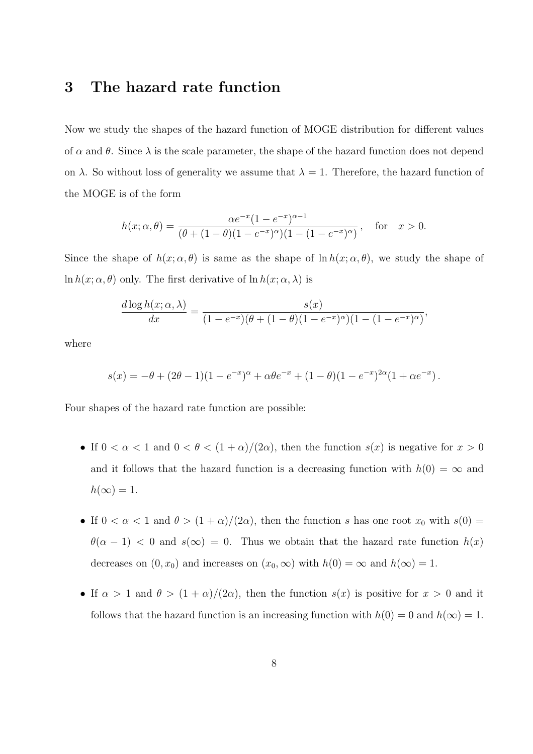## 3 The hazard rate function

Now we study the shapes of the hazard function of MOGE distribution for different values of  $\alpha$  and  $\theta$ . Since  $\lambda$  is the scale parameter, the shape of the hazard function does not depend on  $\lambda$ . So without loss of generality we assume that  $\lambda = 1$ . Therefore, the hazard function of the MOGE is of the form

$$
h(x; \alpha, \theta) = \frac{\alpha e^{-x} (1 - e^{-x})^{\alpha - 1}}{(\theta + (1 - \theta)(1 - e^{-x})^{\alpha})(1 - (1 - e^{-x})^{\alpha})}, \text{ for } x > 0.
$$

Since the shape of  $h(x; \alpha, \theta)$  is same as the shape of  $\ln h(x; \alpha, \theta)$ , we study the shape of ln  $h(x; \alpha, \theta)$  only. The first derivative of  $\ln h(x; \alpha, \lambda)$  is

$$
\frac{d \log h(x; \alpha, \lambda)}{dx} = \frac{s(x)}{(1 - e^{-x})(\theta + (1 - \theta)(1 - e^{-x})^{\alpha})(1 - (1 - e^{-x})^{\alpha})},
$$

where

$$
s(x) = -\theta + (2\theta - 1)(1 - e^{-x})^{\alpha} + \alpha\theta e^{-x} + (1 - \theta)(1 - e^{-x})^{2\alpha}(1 + \alpha e^{-x}).
$$

Four shapes of the hazard rate function are possible:

- If  $0 < \alpha < 1$  and  $0 < \theta < (1 + \alpha)/(2\alpha)$ , then the function  $s(x)$  is negative for  $x > 0$ and it follows that the hazard function is a decreasing function with  $h(0) = \infty$  and  $h(\infty) = 1.$
- If  $0 < \alpha < 1$  and  $\theta > (1 + \alpha)/(2\alpha)$ , then the function s has one root  $x_0$  with  $s(0) =$  $\theta(\alpha - 1)$  < 0 and  $s(\infty) = 0$ . Thus we obtain that the hazard rate function  $h(x)$ decreases on  $(0, x_0)$  and increases on  $(x_0, \infty)$  with  $h(0) = \infty$  and  $h(\infty) = 1$ .
- If  $\alpha > 1$  and  $\theta > (1 + \alpha)/(2\alpha)$ , then the function  $s(x)$  is positive for  $x > 0$  and it follows that the hazard function is an increasing function with  $h(0) = 0$  and  $h(\infty) = 1$ .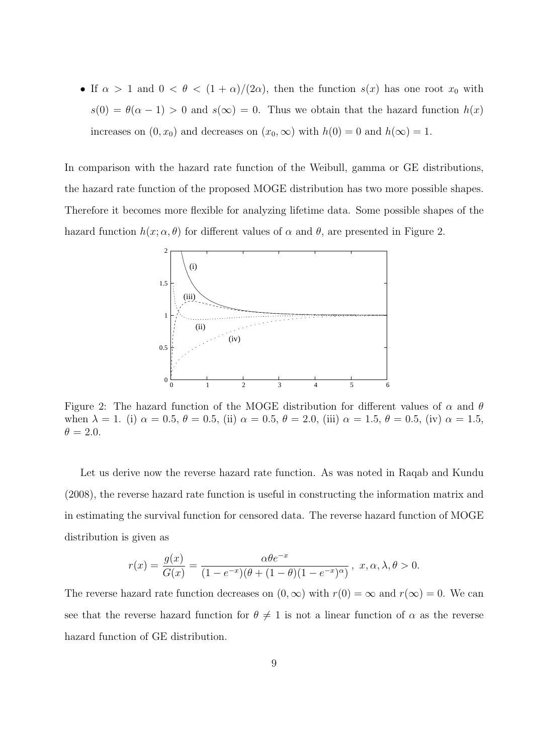• If  $\alpha > 1$  and  $0 < \theta < (1 + \alpha)/(2\alpha)$ , then the function  $s(x)$  has one root  $x_0$  with  $s(0) = \theta(\alpha - 1) > 0$  and  $s(\infty) = 0$ . Thus we obtain that the hazard function  $h(x)$ increases on  $(0, x_0)$  and decreases on  $(x_0, \infty)$  with  $h(0) = 0$  and  $h(\infty) = 1$ .

In comparison with the hazard rate function of the Weibull, gamma or GE distributions, the hazard rate function of the proposed MOGE distribution has two more possible shapes. Therefore it becomes more flexible for analyzing lifetime data. Some possible shapes of the hazard function  $h(x; \alpha, \theta)$  for different values of  $\alpha$  and  $\theta$ , are presented in Figure 2.



Figure 2: The hazard function of the MOGE distribution for different values of  $\alpha$  and  $\theta$ when  $\lambda = 1$ . (i)  $\alpha = 0.5$ ,  $\theta = 0.5$ , (ii)  $\alpha = 0.5$ ,  $\theta = 2.0$ , (iii)  $\alpha = 1.5$ ,  $\theta = 0.5$ , (iv)  $\alpha = 1.5$ ,  $\theta = 2.0.$ 

Let us derive now the reverse hazard rate function. As was noted in Raqab and Kundu (2008), the reverse hazard rate function is useful in constructing the information matrix and in estimating the survival function for censored data. The reverse hazard function of MOGE distribution is given as

$$
r(x) = \frac{g(x)}{G(x)} = \frac{\alpha \theta e^{-x}}{(1 - e^{-x})(\theta + (1 - \theta)(1 - e^{-x})^{\alpha})}, \ x, \alpha, \lambda, \theta > 0.
$$

The reverse hazard rate function decreases on  $(0, \infty)$  with  $r(0) = \infty$  and  $r(\infty) = 0$ . We can see that the reverse hazard function for  $\theta \neq 1$  is not a linear function of  $\alpha$  as the reverse hazard function of GE distribution.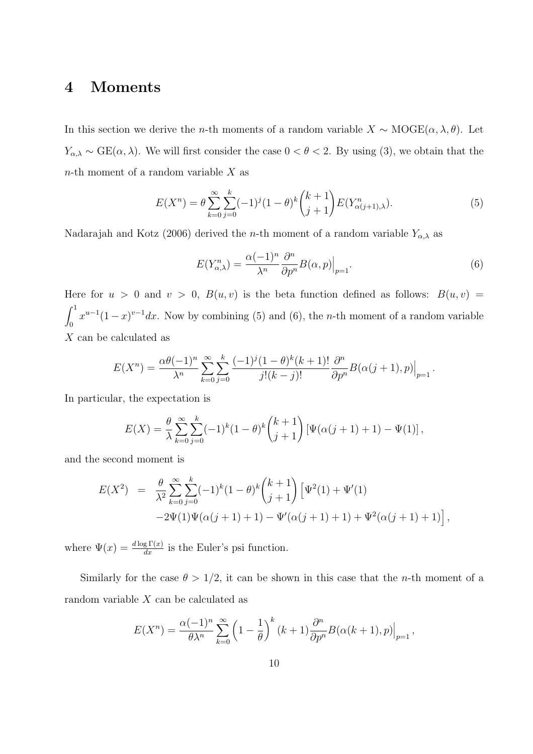## 4 Moments

In this section we derive the *n*-th moments of a random variable  $X \sim \text{MOGE}(\alpha, \lambda, \theta)$ . Let  $Y_{\alpha,\lambda} \sim \text{GE}(\alpha,\lambda)$ . We will first consider the case  $0 < \theta < 2$ . By using (3), we obtain that the  $n$ -th moment of a random variable X as

$$
E(X^n) = \theta \sum_{k=0}^{\infty} \sum_{j=0}^{k} (-1)^j (1-\theta)^k {k+1 \choose j+1} E(Y^n_{\alpha(j+1),\lambda}). \tag{5}
$$

Nadarajah and Kotz (2006) derived the *n*-th moment of a random variable  $Y_{\alpha,\lambda}$  as

$$
E(Y_{\alpha,\lambda}^n) = \frac{\alpha(-1)^n}{\lambda^n} \frac{\partial^n}{\partial p^n} B(\alpha, p)|_{p=1}.
$$
\n(6)

Here for  $u > 0$  and  $v > 0$ ,  $B(u, v)$  is the beta function defined as follows:  $B(u, v) =$  $\int_1^1$  $\int_0^1 x^{u-1}(1-x)^{v-1}dx$ . Now by combining (5) and (6), the *n*-th moment of a random variable X can be calculated as

$$
E(X^{n}) = \frac{\alpha \theta(-1)^{n}}{\lambda^{n}} \sum_{k=0}^{\infty} \sum_{j=0}^{k} \frac{(-1)^{j} (1-\theta)^{k} (k+1)!}{j! (k-j)!} \frac{\partial^{n}}{\partial p^{n}} B(\alpha(j+1), p) \Big|_{p=1}.
$$

In particular, the expectation is

$$
E(X) = \frac{\theta}{\lambda} \sum_{k=0}^{\infty} \sum_{j=0}^{k} (-1)^k (1-\theta)^k {k+1 \choose j+1} [\Psi(\alpha(j+1)+1) - \Psi(1)],
$$

and the second moment is

$$
E(X^{2}) = \frac{\theta}{\lambda^{2}} \sum_{k=0}^{\infty} \sum_{j=0}^{k} (-1)^{k} (1 - \theta)^{k} {k+1 \choose j+1} \left[ \Psi^{2}(1) + \Psi'(1) -2\Psi(1)\Psi(\alpha(j+1)+1) - \Psi'(\alpha(j+1)+1) + \Psi^{2}(\alpha(j+1)+1) \right],
$$

where  $\Psi(x) = \frac{d \log \Gamma(x)}{dx}$  is the Euler's psi function.

Similarly for the case  $\theta > 1/2$ , it can be shown in this case that the *n*-th moment of a random variable X can be calculated as

$$
E(X^{n}) = \frac{\alpha(-1)^{n}}{\theta \lambda^{n}} \sum_{k=0}^{\infty} \left(1 - \frac{1}{\theta}\right)^{k} (k+1) \frac{\partial^{n}}{\partial p^{n}} B(\alpha(k+1), p)|_{p=1},
$$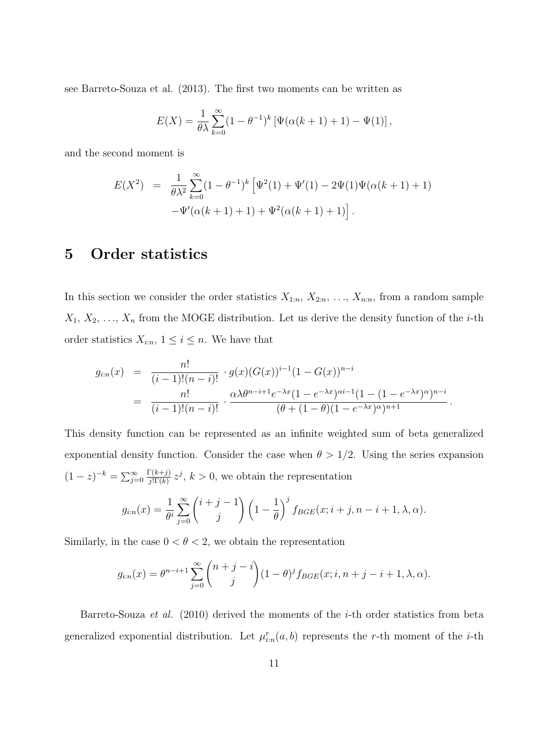see Barreto-Souza et al. (2013). The first two moments can be written as

$$
E(X) = \frac{1}{\theta\lambda} \sum_{k=0}^{\infty} (1 - \theta^{-1})^k \left[ \Psi(\alpha(k+1) + 1) - \Psi(1) \right],
$$

and the second moment is

$$
E(X^{2}) = \frac{1}{\theta\lambda^{2}} \sum_{k=0}^{\infty} (1 - \theta^{-1})^{k} \left[ \Psi^{2}(1) + \Psi'(1) - 2\Psi(1)\Psi(\alpha(k+1) + 1) - \Psi'(\alpha(k+1) + 1) + \Psi^{2}(\alpha(k+1) + 1) \right].
$$

## 5 Order statistics

In this section we consider the order statistics  $X_{1:n}$ ,  $X_{2:n}$ , ...,  $X_{n:n}$ , from a random sample  $X_1, X_2, \ldots, X_n$  from the MOGE distribution. Let us derive the density function of the *i*-th order statistics  $X_{i:n}$ ,  $1 \leq i \leq n$ . We have that

$$
g_{i:n}(x) = \frac{n!}{(i-1)!(n-i)!} \cdot g(x)(G(x))^{i-1}(1-G(x))^{n-i}
$$
  
= 
$$
\frac{n!}{(i-1)!(n-i)!} \cdot \frac{\alpha \lambda \theta^{n-i+1} e^{-\lambda x} (1-e^{-\lambda x})^{\alpha i-1} (1-(1-e^{-\lambda x})^{\alpha})^{n-i}}{(\theta + (1-\theta)(1-e^{-\lambda x})^{\alpha})^{n+1}}.
$$

This density function can be represented as an infinite weighted sum of beta generalized exponential density function. Consider the case when  $\theta > 1/2$ . Using the series expansion  $(1-z)^{-k} = \sum_{j=0}^{\infty}$  $\Gamma(k+j)$  $\frac{\Gamma(k+j)}{j!\Gamma(k)} z^j$ ,  $k > 0$ , we obtain the representation

$$
g_{i:n}(x) = \frac{1}{\theta^i} \sum_{j=0}^{\infty} {i+j-1 \choose j} \left(1 - \frac{1}{\theta}\right)^j f_{BGE}(x; i+j, n-i+1, \lambda, \alpha).
$$

Similarly, in the case  $0 < \theta < 2$ , we obtain the representation

$$
g_{i:n}(x) = \theta^{n-i+1} \sum_{j=0}^{\infty} {n+j-i \choose j} (1-\theta)^j f_{BGE}(x;i,n+j-i+1,\lambda,\alpha).
$$

Barreto-Souza *et al.* (2010) derived the moments of the *i*-th order statistics from beta generalized exponential distribution. Let  $\mu_{i:n}^r(a, b)$  represents the r-th moment of the *i*-th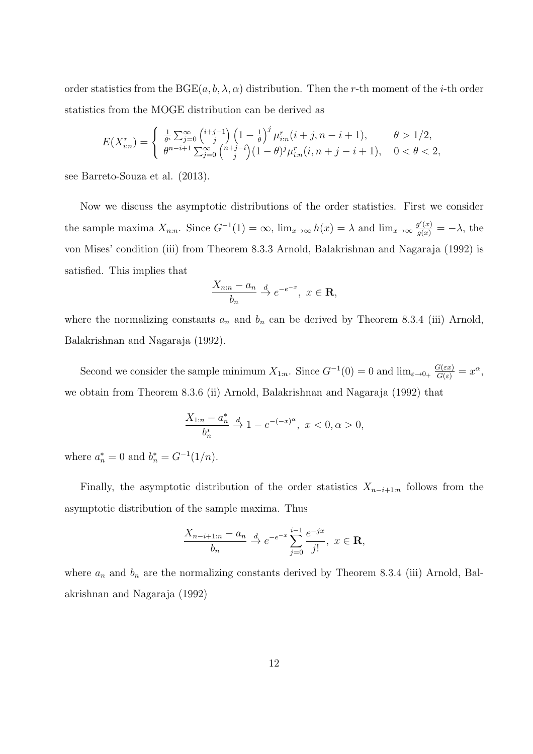order statistics from the  $BGE(a, b, \lambda, \alpha)$  distribution. Then the r-th moment of the *i*-th order statistics from the MOGE distribution can be derived as

$$
E(X_{i:n}^r) = \begin{cases} \frac{1}{\theta^i} \sum_{j=0}^{\infty} {\binom{i+j-1}{j}} \left(1 - \frac{1}{\theta}\right)^j \mu_{i:n}^r (i+j, n-i+1), & \theta > 1/2, \\ \theta^{n-i+1} \sum_{j=0}^{\infty} {\binom{n+j-i}{j}} (1 - \theta)^j \mu_{i:n}^r (i, n+j-i+1), & 0 < \theta < 2, \end{cases}
$$

see Barreto-Souza et al. (2013).

Now we discuss the asymptotic distributions of the order statistics. First we consider the sample maxima  $X_{n:n}$ . Since  $G^{-1}(1) = \infty$ ,  $\lim_{x\to\infty} h(x) = \lambda$  and  $\lim_{x\to\infty} \frac{g'(x)}{g(x)} = -\lambda$ , the von Mises' condition (iii) from Theorem 8.3.3 Arnold, Balakrishnan and Nagaraja (1992) is satisfied. This implies that

$$
\frac{X_{n:n} - a_n}{b_n} \xrightarrow{d} e^{-e^{-x}}, \ x \in \mathbf{R},
$$

where the normalizing constants  $a_n$  and  $b_n$  can be derived by Theorem 8.3.4 (iii) Arnold, Balakrishnan and Nagaraja (1992).

Second we consider the sample minimum  $X_{1:n}$ . Since  $G^{-1}(0) = 0$  and  $\lim_{\varepsilon \to 0+} \frac{G(\varepsilon x)}{G(\varepsilon)} = x^{\alpha}$ , we obtain from Theorem 8.3.6 (ii) Arnold, Balakrishnan and Nagaraja (1992) that

$$
\frac{X_{1:n} - a_n^*}{b_n^*} \xrightarrow{d} 1 - e^{-(-x)^{\alpha}}, \ x < 0, \alpha > 0,
$$

where  $a_n^* = 0$  and  $b_n^* = G^{-1}(1/n)$ .

Finally, the asymptotic distribution of the order statistics  $X_{n-i+1:n}$  follows from the asymptotic distribution of the sample maxima. Thus

$$
\frac{X_{n-i+1:n} - a_n}{b_n} \xrightarrow{d} e^{-e^{-x}} \sum_{j=0}^{i-1} \frac{e^{-jx}}{j!}, \ x \in \mathbf{R},
$$

where  $a_n$  and  $b_n$  are the normalizing constants derived by Theorem 8.3.4 (iii) Arnold, Balakrishnan and Nagaraja (1992)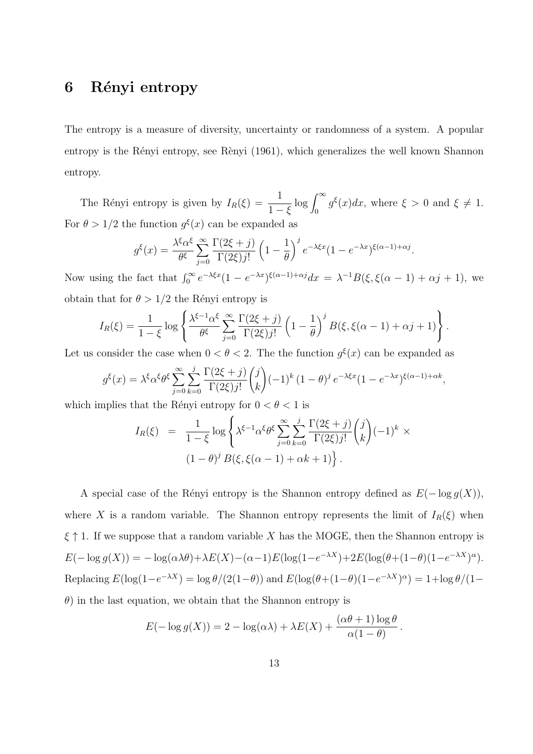## 6 Rényi entropy

The entropy is a measure of diversity, uncertainty or randomness of a system. A popular entropy is the Rényi entropy, see Rènyi (1961), which generalizes the well known Shannon entropy.

The Rényi entropy is given by  $I_R(\xi) = \frac{1}{1-\xi}$  $\log \int_0^\infty g^\xi(x) dx$ , where  $\xi > 0$  and  $\xi \neq 1$ . For  $\theta > 1/2$  the function  $g^{\xi}(x)$  can be expanded as

$$
g^{\xi}(x) = \frac{\lambda^{\xi} \alpha^{\xi}}{\theta^{\xi}} \sum_{j=0}^{\infty} \frac{\Gamma(2\xi + j)}{\Gamma(2\xi)j!} \left(1 - \frac{1}{\theta}\right)^{j} e^{-\lambda \xi x} (1 - e^{-\lambda x})^{\xi(\alpha - 1) + \alpha j}.
$$

Now using the fact that  $\int_0^\infty e^{-\lambda \xi x} (1 - e^{-\lambda x})^{\xi(\alpha - 1) + \alpha j} dx = \lambda^{-1} B(\xi, \xi(\alpha - 1) + \alpha j + 1)$ , we obtain that for  $\theta > 1/2$  the Rényi entropy is

$$
I_R(\xi) = \frac{1}{1-\xi} \log \left\{ \frac{\lambda^{\xi-1} \alpha^{\xi}}{\theta^{\xi}} \sum_{j=0}^{\infty} \frac{\Gamma(2\xi+j)}{\Gamma(2\xi)j!} \left(1 - \frac{1}{\theta}\right)^j B(\xi, \xi(\alpha-1) + \alpha j + 1) \right\}.
$$

Let us consider the case when  $0 < \theta < 2$ . The the function  $g^{\xi}(x)$  can be expanded as

$$
g^{\xi}(x) = \lambda^{\xi} \alpha^{\xi} \theta^{\xi} \sum_{j=0}^{\infty} \sum_{k=0}^{j} \frac{\Gamma(2\xi + j)}{\Gamma(2\xi)j!} {j \choose k} (-1)^{k} (1 - \theta)^{j} e^{-\lambda \xi x} (1 - e^{-\lambda x})^{\xi(\alpha - 1) + \alpha k},
$$

which implies that the Rényi entropy for  $0 < \theta < 1$  is

$$
I_R(\xi) = \frac{1}{1-\xi} \log \left\{ \lambda^{\xi-1} \alpha^{\xi} \theta^{\xi} \sum_{j=0}^{\infty} \sum_{k=0}^{j} \frac{\Gamma(2\xi+j)}{\Gamma(2\xi)j!} {j \choose k} (-1)^k \times (1-\theta)^j B(\xi, \xi(\alpha-1) + \alpha k + 1) \right\}.
$$

A special case of the Rényi entropy is the Shannon entropy defined as  $E(-\log g(X))$ , where X is a random variable. The Shannon entropy represents the limit of  $I_R(\xi)$  when  $\xi \uparrow 1$ . If we suppose that a random variable X has the MOGE, then the Shannon entropy is  $E(-\log g(X)) = -\log(\alpha \lambda \theta) + \lambda E(X) - (\alpha - 1)E(\log(1 - e^{-\lambda X}) + 2E(\log(\theta + (1 - \theta)(1 - e^{-\lambda X})^{\alpha}))$ Replacing  $E(\log(1-e^{-\lambda X}) = \log \theta/(2(1-\theta))$  and  $E(\log(\theta+(1-\theta)(1-e^{-\lambda X})^{\alpha}) = 1 + \log \theta/(1-\theta)$  $\theta$ ) in the last equation, we obtain that the Shannon entropy is

$$
E(-\log g(X)) = 2 - \log(\alpha \lambda) + \lambda E(X) + \frac{(\alpha \theta + 1) \log \theta}{\alpha (1 - \theta)}
$$

.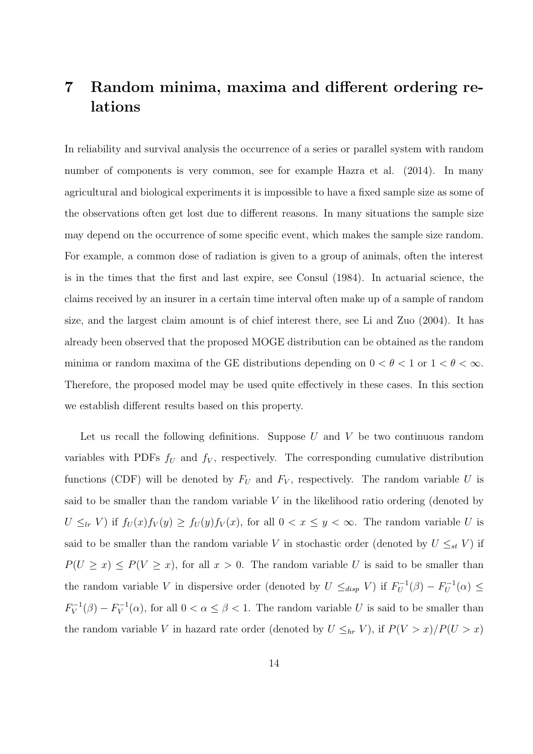## 7 Random minima, maxima and different ordering relations

In reliability and survival analysis the occurrence of a series or parallel system with random number of components is very common, see for example Hazra et al. (2014). In many agricultural and biological experiments it is impossible to have a fixed sample size as some of the observations often get lost due to different reasons. In many situations the sample size may depend on the occurrence of some specific event, which makes the sample size random. For example, a common dose of radiation is given to a group of animals, often the interest is in the times that the first and last expire, see Consul (1984). In actuarial science, the claims received by an insurer in a certain time interval often make up of a sample of random size, and the largest claim amount is of chief interest there, see Li and Zuo (2004). It has already been observed that the proposed MOGE distribution can be obtained as the random minima or random maxima of the GE distributions depending on  $0 < \theta < 1$  or  $1 < \theta < \infty$ . Therefore, the proposed model may be used quite effectively in these cases. In this section we establish different results based on this property.

Let us recall the following definitions. Suppose  $U$  and  $V$  be two continuous random variables with PDFs  $f_U$  and  $f_V$ , respectively. The corresponding cumulative distribution functions (CDF) will be denoted by  $F_U$  and  $F_V$ , respectively. The random variable U is said to be smaller than the random variable  $V$  in the likelihood ratio ordering (denoted by  $U \leq_{lr} V$ ) if  $f_U(x) f_V(y) \geq f_U(y) f_V(x)$ , for all  $0 < x \leq y < \infty$ . The random variable U is said to be smaller than the random variable V in stochastic order (denoted by  $U \leq_{st} V$ ) if  $P(U \ge x) \le P(V \ge x)$ , for all  $x > 0$ . The random variable U is said to be smaller than the random variable V in dispersive order (denoted by  $U \leq_{disp} V$ ) if  $F_U^{-1}(\beta) - F_U^{-1}(\alpha) \leq$  $F_V^{-1}(\beta) - F_V^{-1}(\alpha)$ , for all  $0 < \alpha \leq \beta < 1$ . The random variable U is said to be smaller than the random variable V in hazard rate order (denoted by  $U \leq_{hr} V$ ), if  $P(V > x)/P(U > x)$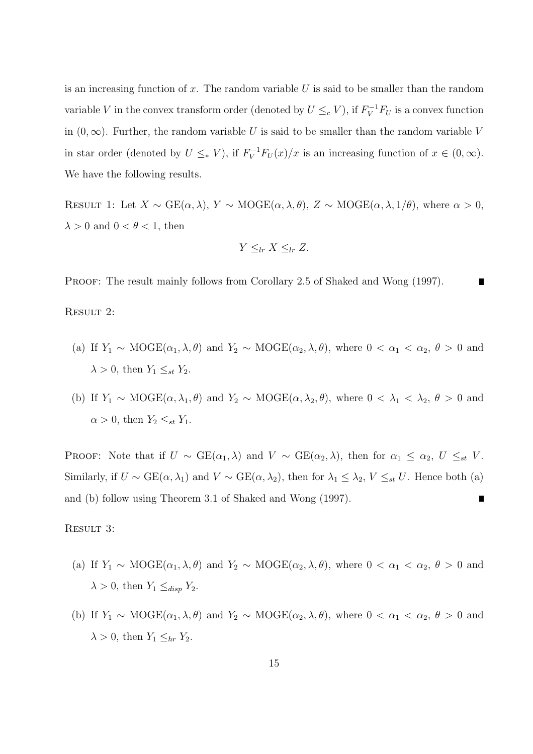is an increasing function of x. The random variable  $U$  is said to be smaller than the random variable V in the convex transform order (denoted by  $U \leq_c V$ ), if  $F_V^{-1}F_U$  is a convex function in  $(0, \infty)$ . Further, the random variable U is said to be smaller than the random variable V in star order (denoted by  $U \leq_* V$ ), if  $F_V^{-1}F_U(x)/x$  is an increasing function of  $x \in (0, \infty)$ . We have the following results.

RESULT 1: Let  $X \sim \text{GE}(\alpha, \lambda)$ ,  $Y \sim \text{MOGE}(\alpha, \lambda, \theta)$ ,  $Z \sim \text{MOGE}(\alpha, \lambda, 1/\theta)$ , where  $\alpha > 0$ ,  $\lambda > 0$  and  $0 < \theta < 1$ , then

$$
Y \leq_{lr} X \leq_{lr} Z.
$$

PROOF: The result mainly follows from Corollary 2.5 of Shaked and Wong (1997).

RESULT 2:

- (a) If  $Y_1 \sim \text{MOGE}(\alpha_1, \lambda, \theta)$  and  $Y_2 \sim \text{MOGE}(\alpha_2, \lambda, \theta)$ , where  $0 < \alpha_1 < \alpha_2$ ,  $\theta > 0$  and  $\lambda > 0$ , then  $Y_1 \leq_{st} Y_2$ .
- (b) If  $Y_1 \sim \text{MOGE}(\alpha, \lambda_1, \theta)$  and  $Y_2 \sim \text{MOGE}(\alpha, \lambda_2, \theta)$ , where  $0 < \lambda_1 < \lambda_2$ ,  $\theta > 0$  and  $\alpha > 0$ , then  $Y_2 \leq_{st} Y_1$ .

PROOF: Note that if  $U \sim \text{GE}(\alpha_1, \lambda)$  and  $V \sim \text{GE}(\alpha_2, \lambda)$ , then for  $\alpha_1 \leq \alpha_2$ ,  $U \leq_{st} V$ . Similarly, if  $U \sim \text{GE}(\alpha, \lambda_1)$  and  $V \sim \text{GE}(\alpha, \lambda_2)$ , then for  $\lambda_1 \leq \lambda_2$ ,  $V \leq_{st} U$ . Hence both (a) and (b) follow using Theorem 3.1 of Shaked and Wong (1997).

RESULT 3:

- (a) If  $Y_1 \sim \text{MOGE}(\alpha_1, \lambda, \theta)$  and  $Y_2 \sim \text{MOGE}(\alpha_2, \lambda, \theta)$ , where  $0 < \alpha_1 < \alpha_2$ ,  $\theta > 0$  and  $\lambda > 0$ , then  $Y_1 \leq_{disp} Y_2$ .
- (b) If  $Y_1 \sim \text{MOGE}(\alpha_1, \lambda, \theta)$  and  $Y_2 \sim \text{MOGE}(\alpha_2, \lambda, \theta)$ , where  $0 < \alpha_1 < \alpha_2$ ,  $\theta > 0$  and  $\lambda > 0$ , then  $Y_1 \leq_{hr} Y_2$ .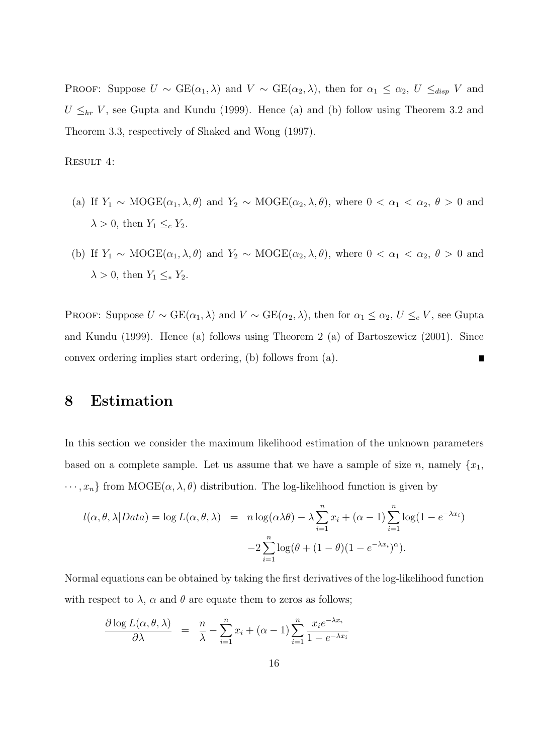PROOF: Suppose  $U \sim \text{GE}(\alpha_1, \lambda)$  and  $V \sim \text{GE}(\alpha_2, \lambda)$ , then for  $\alpha_1 \leq \alpha_2$ ,  $U \leq_{disp} V$  and  $U \leq_{hr} V$ , see Gupta and Kundu (1999). Hence (a) and (b) follow using Theorem 3.2 and Theorem 3.3, respectively of Shaked and Wong (1997).

Result 4:

- (a) If  $Y_1 \sim \text{MOGE}(\alpha_1, \lambda, \theta)$  and  $Y_2 \sim \text{MOGE}(\alpha_2, \lambda, \theta)$ , where  $0 < \alpha_1 < \alpha_2$ ,  $\theta > 0$  and  $\lambda > 0$ , then  $Y_1 \leq_c Y_2$ .
- (b) If  $Y_1 \sim \text{MOGE}(\alpha_1, \lambda, \theta)$  and  $Y_2 \sim \text{MOGE}(\alpha_2, \lambda, \theta)$ , where  $0 < \alpha_1 < \alpha_2$ ,  $\theta > 0$  and  $\lambda > 0$ , then  $Y_1 \leq Y_2$ .

PROOF: Suppose  $U \sim \text{GE}(\alpha_1, \lambda)$  and  $V \sim \text{GE}(\alpha_2, \lambda)$ , then for  $\alpha_1 \leq \alpha_2$ ,  $U \leq_c V$ , see Gupta and Kundu (1999). Hence (a) follows using Theorem 2 (a) of Bartoszewicz (2001). Since convex ordering implies start ordering, (b) follows from (a). П

## 8 Estimation

In this section we consider the maximum likelihood estimation of the unknown parameters based on a complete sample. Let us assume that we have a sample of size n, namely  $\{x_1,$  $\cdots$ ,  $x_n$ } from MOGE( $\alpha$ ,  $\lambda$ ,  $\theta$ ) distribution. The log-likelihood function is given by

$$
l(\alpha, \theta, \lambda | Data) = \log L(\alpha, \theta, \lambda) = n \log(\alpha \lambda \theta) - \lambda \sum_{i=1}^{n} x_i + (\alpha - 1) \sum_{i=1}^{n} \log(1 - e^{-\lambda x_i})
$$

$$
-2 \sum_{i=1}^{n} \log(\theta + (1 - \theta)(1 - e^{-\lambda x_i})^{\alpha}).
$$

Normal equations can be obtained by taking the first derivatives of the log-likelihood function with respect to  $\lambda$ ,  $\alpha$  and  $\theta$  are equate them to zeros as follows;

$$
\frac{\partial \log L(\alpha, \theta, \lambda)}{\partial \lambda} = \frac{n}{\lambda} - \sum_{i=1}^{n} x_i + (\alpha - 1) \sum_{i=1}^{n} \frac{x_i e^{-\lambda x_i}}{1 - e^{-\lambda x_i}}
$$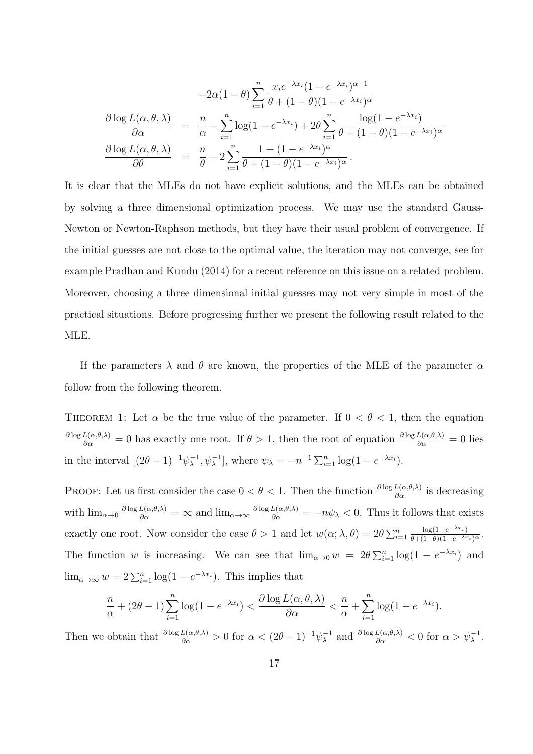$$
-2\alpha(1-\theta)\sum_{i=1}^{n} \frac{x_i e^{-\lambda x_i}(1 - e^{-\lambda x_i})^{\alpha-1}}{\theta + (1-\theta)(1 - e^{-\lambda x_i})^{\alpha}}
$$

$$
\frac{\partial \log L(\alpha, \theta, \lambda)}{\partial \alpha} = \frac{n}{\alpha} - \sum_{i=1}^{n} \log(1 - e^{-\lambda x_i}) + 2\theta \sum_{i=1}^{n} \frac{\log(1 - e^{-\lambda x_i})}{\theta + (1-\theta)(1 - e^{-\lambda x_i})^{\alpha}}
$$

$$
\frac{\partial \log L(\alpha, \theta, \lambda)}{\partial \theta} = \frac{n}{\theta} - 2\sum_{i=1}^{n} \frac{1 - (1 - e^{-\lambda x_i})^{\alpha}}{\theta + (1-\theta)(1 - e^{-\lambda x_i})^{\alpha}}.
$$

It is clear that the MLEs do not have explicit solutions, and the MLEs can be obtained by solving a three dimensional optimization process. We may use the standard Gauss-Newton or Newton-Raphson methods, but they have their usual problem of convergence. If the initial guesses are not close to the optimal value, the iteration may not converge, see for example Pradhan and Kundu (2014) for a recent reference on this issue on a related problem. Moreover, choosing a three dimensional initial guesses may not very simple in most of the practical situations. Before progressing further we present the following result related to the MLE.

If the parameters  $\lambda$  and  $\theta$  are known, the properties of the MLE of the parameter  $\alpha$ follow from the following theorem.

THEOREM 1: Let  $\alpha$  be the true value of the parameter. If  $0 < \theta < 1$ , then the equation  $\frac{\partial \log L(\alpha,\theta,\lambda)}{\partial \alpha} = 0$  has exactly one root. If  $\theta > 1$ , then the root of equation  $\frac{\partial \log L(\alpha,\theta,\lambda)}{\partial \alpha} = 0$  lies in the interval  $[(2\theta - 1)^{-1}\psi_{\lambda}^{-1}, \psi_{\lambda}^{-1}]$ , where  $\psi_{\lambda} = -n^{-1} \sum_{i=1}^{n} \log(1 - e^{-\lambda x_i}).$ 

**PROOF:** Let us first consider the case  $0 < \theta < 1$ . Then the function  $\frac{\partial \log L(\alpha, \theta, \lambda)}{\partial \alpha}$  is decreasing with  $\lim_{\alpha\to 0} \frac{\partial \log L(\alpha,\theta,\lambda)}{\partial \alpha} = \infty$  and  $\lim_{\alpha\to\infty} \frac{\partial \log L(\alpha,\theta,\lambda)}{\partial \alpha} = -n\psi_{\lambda} < 0$ . Thus it follows that exists exactly one root. Now consider the case  $\theta > 1$  and let  $w(\alpha; \lambda, \theta) = 2\theta \sum_{i=1}^{n}$  $\frac{\log(1-e^{-\lambda x_i})}{\theta+(1-\theta)(1-e^{-\lambda x_i})^{\alpha}}.$ The function w is increasing. We can see that  $\lim_{\alpha\to 0} w = 2\theta \sum_{i=1}^n \log(1 - e^{-\lambda x_i})$  and  $\lim_{\alpha \to \infty} w = 2 \sum_{i=1}^n \log(1 - e^{-\lambda x_i}).$  This implies that

$$
\frac{n}{\alpha} + (2\theta - 1) \sum_{i=1}^{n} \log(1 - e^{-\lambda x_i}) < \frac{\partial \log L(\alpha, \theta, \lambda)}{\partial \alpha} < \frac{n}{\alpha} + \sum_{i=1}^{n} \log(1 - e^{-\lambda x_i}).
$$

Then we obtain that  $\frac{\partial \log L(\alpha, \theta, \lambda)}{\partial \alpha} > 0$  for  $\alpha < (2\theta - 1)^{-1} \psi_{\lambda}^{-1}$  and  $\frac{\partial \log L(\alpha, \theta, \lambda)}{\partial \alpha} < 0$  for  $\alpha > \psi_{\lambda}^{-1}$ .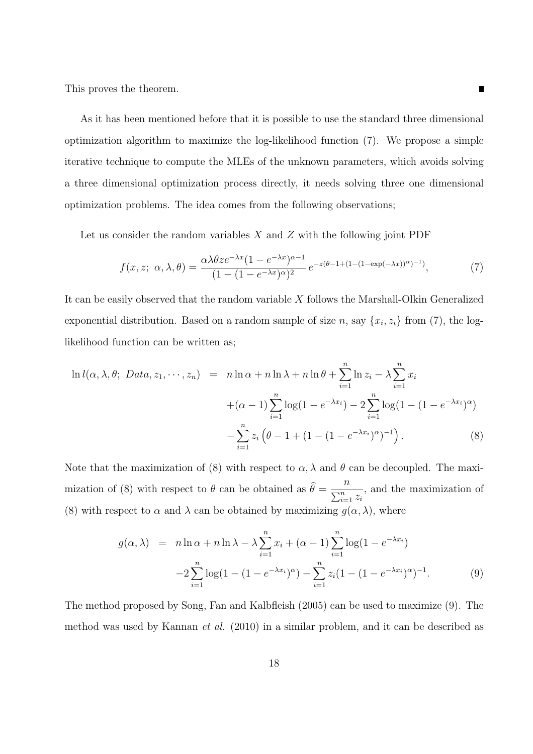This proves the theorem.

As it has been mentioned before that it is possible to use the standard three dimensional optimization algorithm to maximize the log-likelihood function (7). We propose a simple iterative technique to compute the MLEs of the unknown parameters, which avoids solving a three dimensional optimization process directly, it needs solving three one dimensional optimization problems. The idea comes from the following observations;

Let us consider the random variables  $X$  and  $Z$  with the following joint PDF

$$
f(x, z; \alpha, \lambda, \theta) = \frac{\alpha \lambda \theta z e^{-\lambda x} (1 - e^{-\lambda x})^{\alpha - 1}}{(1 - (1 - e^{-\lambda x})^{\alpha})^2} e^{-z(\theta - 1 + (1 - (1 - \exp(-\lambda x))^{\alpha})^{-1})}, \tag{7}
$$

It can be easily observed that the random variable X follows the Marshall-Olkin Generalized exponential distribution. Based on a random sample of size  $n$ , say  $\{x_i, z_i\}$  from (7), the loglikelihood function can be written as;

$$
\ln l(\alpha, \lambda, \theta; \text{ Data}, z_1, \cdots, z_n) = n \ln \alpha + n \ln \lambda + n \ln \theta + \sum_{i=1}^n \ln z_i - \lambda \sum_{i=1}^n x_i + (\alpha - 1) \sum_{i=1}^n \log(1 - e^{-\lambda x_i}) - 2 \sum_{i=1}^n \log(1 - (1 - e^{-\lambda x_i})^{\alpha}) - \sum_{i=1}^n z_i (\theta - 1 + (1 - (1 - e^{-\lambda x_i})^{\alpha})^{-1}).
$$
\n(8)

Note that the maximization of (8) with respect to  $\alpha, \lambda$  and  $\theta$  can be decoupled. The maximization of (8) with respect to  $\theta$  can be obtained as  $\theta =$ n  $\overline{\sum_{i=1}^n z_i}$ , and the maximization of (8) with respect to  $\alpha$  and  $\lambda$  can be obtained by maximizing  $g(\alpha, \lambda)$ , where

$$
g(\alpha, \lambda) = n \ln \alpha + n \ln \lambda - \lambda \sum_{i=1}^{n} x_i + (\alpha - 1) \sum_{i=1}^{n} \log(1 - e^{-\lambda x_i})
$$
  
-2
$$
\sum_{i=1}^{n} \log(1 - (1 - e^{-\lambda x_i})^{\alpha}) - \sum_{i=1}^{n} z_i (1 - (1 - e^{-\lambda x_i})^{\alpha})^{-1}.
$$
 (9)

The method proposed by Song, Fan and Kalbfleish (2005) can be used to maximize (9). The method was used by Kannan et al. (2010) in a similar problem, and it can be described as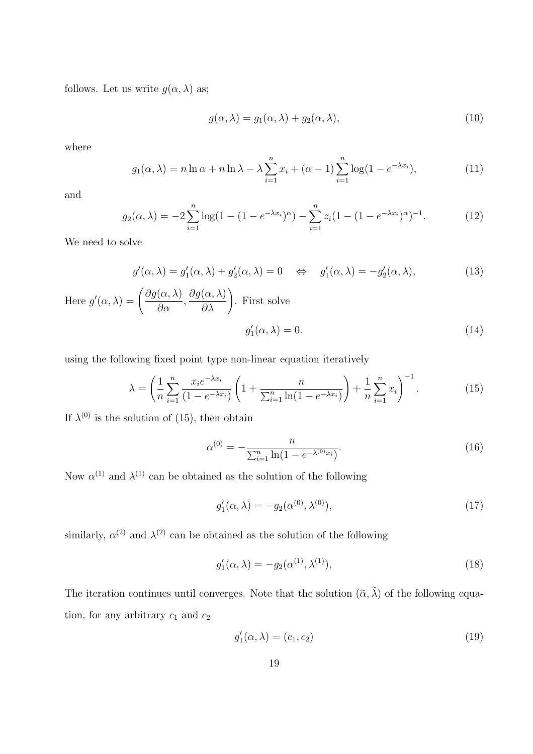follows. Let us write  $g(\alpha, \lambda)$  as;

$$
g(\alpha, \lambda) = g_1(\alpha, \lambda) + g_2(\alpha, \lambda), \qquad (10)
$$

where

$$
g_1(\alpha,\lambda) = n \ln \alpha + n \ln \lambda - \lambda \sum_{i=1}^n x_i + (\alpha - 1) \sum_{i=1}^n \log(1 - e^{-\lambda x_i}), \tag{11}
$$

and

$$
g_2(\alpha, \lambda) = -2 \sum_{i=1}^n \log(1 - (1 - e^{-\lambda x_i})^{\alpha}) - \sum_{i=1}^n z_i (1 - (1 - e^{-\lambda x_i})^{\alpha})^{-1}.
$$
 (12)

We need to solve

$$
g'(\alpha, \lambda) = g'_1(\alpha, \lambda) + g'_2(\alpha, \lambda) = 0 \quad \Leftrightarrow \quad g'_1(\alpha, \lambda) = -g'_2(\alpha, \lambda), \tag{13}
$$

Here 
$$
g'(\alpha, \lambda) = \left(\frac{\partial g(\alpha, \lambda)}{\partial \alpha}, \frac{\partial g(\alpha, \lambda)}{\partial \lambda}\right)
$$
. First solve  

$$
g'_1(\alpha, \lambda) = 0.
$$
 (14)

using the following fixed point type non-linear equation iteratively

$$
\lambda = \left(\frac{1}{n}\sum_{i=1}^{n} \frac{x_i e^{-\lambda x_i}}{(1 - e^{-\lambda x_i})} \left(1 + \frac{n}{\sum_{i=1}^{n} \ln(1 - e^{-\lambda x_i})}\right) + \frac{1}{n}\sum_{i=1}^{n} x_i\right)^{-1}.\tag{15}
$$

If  $\lambda^{(0)}$  is the solution of (15), then obtain

$$
\alpha^{(0)} = -\frac{n}{\sum_{i=1}^{n} \ln(1 - e^{-\lambda^{(0)}x_i})}.
$$
\n(16)

Now  $\alpha^{(1)}$  and  $\lambda^{(1)}$  can be obtained as the solution of the following

$$
g_1'(\alpha, \lambda) = -g_2(\alpha^{(0)}, \lambda^{(0)}), \tag{17}
$$

similarly,  $\alpha^{(2)}$  and  $\lambda^{(2)}$  can be obtained as the solution of the following

$$
g_1'(\alpha, \lambda) = -g_2(\alpha^{(1)}, \lambda^{(1)}), \tag{18}
$$

The iteration continues until converges. Note that the solution  $(\tilde{\alpha}, \lambda)$  of the following equation, for any arbitrary  $c_1$  and  $c_2$ 

$$
g_1'(\alpha,\lambda) = (c_1,c_2) \tag{19}
$$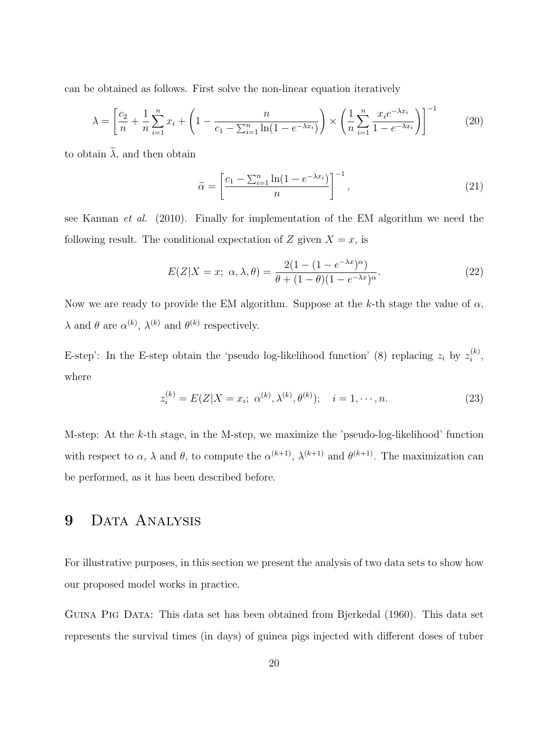can be obtained as follows. First solve the non-linear equation iteratively

$$
\lambda = \left[ \frac{c_2}{n} + \frac{1}{n} \sum_{i=1}^n x_i + \left( 1 - \frac{n}{c_1 - \sum_{i=1}^n \ln(1 - e^{-\lambda x_i})} \right) \times \left( \frac{1}{n} \sum_{i=1}^n \frac{x_i e^{-\lambda x_i}}{1 - e^{-\lambda x_i}} \right) \right]^{-1} \tag{20}
$$

to obtain  $\tilde{\lambda}$ , and then obtain

$$
\tilde{\alpha} = \left[\frac{c_1 - \sum_{i=1}^n \ln(1 - e^{-\lambda x_i})}{n}\right]^{-1},\tag{21}
$$

see Kannan et al. (2010). Finally for implementation of the EM algorithm we need the following result. The conditional expectation of Z given  $X = x$ , is

$$
E(Z|X=x; \alpha, \lambda, \theta) = \frac{2(1 - (1 - e^{-\lambda x})^{\alpha})}{\theta + (1 - \theta)(1 - e^{-\lambda x})^{\alpha}}.
$$
\n(22)

Now we are ready to provide the EM algorithm. Suppose at the k-th stage the value of  $\alpha$ ,  $\lambda$  and  $\theta$  are  $\alpha^{(k)}$ ,  $\lambda^{(k)}$  and  $\theta^{(k)}$  respectively.

E-step': In the E-step obtain the 'pseudo log-likelihood function' (8) replacing  $z_i$  by  $z_i^{(k)}$  $\binom{\kappa}{i}$ where

$$
z_i^{(k)} = E(Z|X = x_i; \ \alpha^{(k)}, \lambda^{(k)}, \theta^{(k)}); \quad i = 1, \cdots, n. \tag{23}
$$

M-step: At the k-th stage, in the M-step, we maximize the 'pseudo-log-likelihood' function with respect to  $\alpha$ ,  $\lambda$  and  $\theta$ , to compute the  $\alpha^{(k+1)}$ ,  $\lambda^{(k+1)}$  and  $\theta^{(k+1)}$ . The maximization can be performed, as it has been described before.

## 9 DATA ANALYSIS

For illustrative purposes, in this section we present the analysis of two data sets to show how our proposed model works in practice.

Guina Pig Data: This data set has been obtained from Bjerkedal (1960). This data set represents the survival times (in days) of guinea pigs injected with different doses of tuber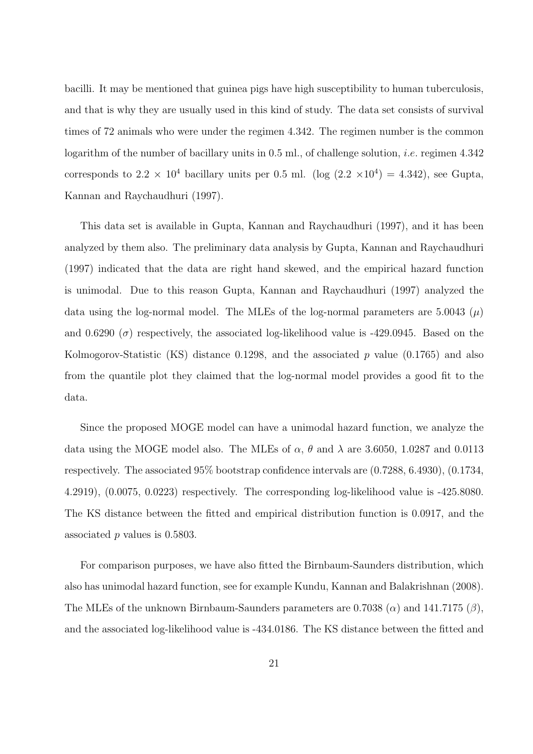bacilli. It may be mentioned that guinea pigs have high susceptibility to human tuberculosis, and that is why they are usually used in this kind of study. The data set consists of survival times of 72 animals who were under the regimen 4.342. The regimen number is the common logarithm of the number of bacillary units in  $0.5$  ml., of challenge solution, *i.e.* regimen  $4.342$ corresponds to  $2.2 \times 10^4$  bacillary units per 0.5 ml. (log  $(2.2 \times 10^4) = 4.342$ ), see Gupta, Kannan and Raychaudhuri (1997).

This data set is available in Gupta, Kannan and Raychaudhuri (1997), and it has been analyzed by them also. The preliminary data analysis by Gupta, Kannan and Raychaudhuri (1997) indicated that the data are right hand skewed, and the empirical hazard function is unimodal. Due to this reason Gupta, Kannan and Raychaudhuri (1997) analyzed the data using the log-normal model. The MLEs of the log-normal parameters are 5.0043  $(\mu)$ and 0.6290 ( $\sigma$ ) respectively, the associated log-likelihood value is -429.0945. Based on the Kolmogorov-Statistic (KS) distance 0.1298, and the associated  $p$  value (0.1765) and also from the quantile plot they claimed that the log-normal model provides a good fit to the data.

Since the proposed MOGE model can have a unimodal hazard function, we analyze the data using the MOGE model also. The MLEs of  $\alpha$ ,  $\theta$  and  $\lambda$  are 3.6050, 1.0287 and 0.0113 respectively. The associated 95% bootstrap confidence intervals are (0.7288, 6.4930), (0.1734, 4.2919), (0.0075, 0.0223) respectively. The corresponding log-likelihood value is -425.8080. The KS distance between the fitted and empirical distribution function is 0.0917, and the associated p values is 0.5803.

For comparison purposes, we have also fitted the Birnbaum-Saunders distribution, which also has unimodal hazard function, see for example Kundu, Kannan and Balakrishnan (2008). The MLEs of the unknown Birnbaum-Saunders parameters are 0.7038 ( $\alpha$ ) and 141.7175 ( $\beta$ ), and the associated log-likelihood value is -434.0186. The KS distance between the fitted and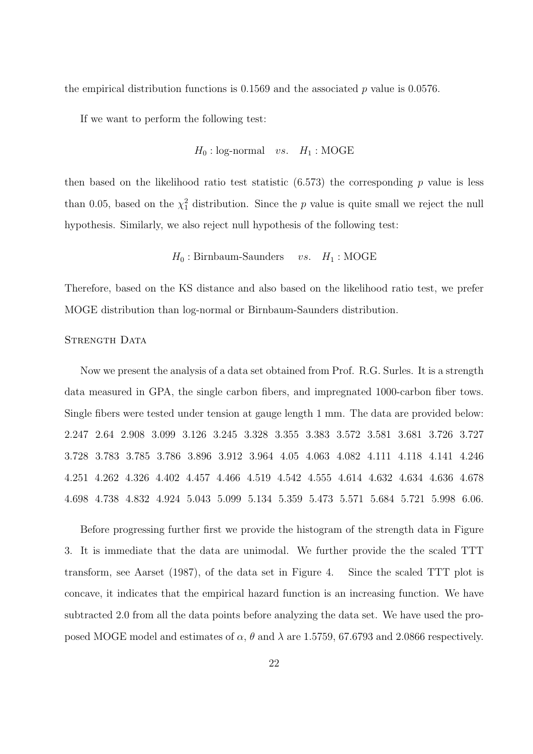the empirical distribution functions is  $0.1569$  and the associated p value is  $0.0576$ .

If we want to perform the following test:

$$
H_0: \text{log-normal} \quad vs. \quad H_1: \text{MOGE}
$$

then based on the likelihood ratio test statistic  $(6.573)$  the corresponding p value is less than 0.05, based on the  $\chi^2$  distribution. Since the p value is quite small we reject the null hypothesis. Similarly, we also reject null hypothesis of the following test:

### $H_0$ : Birnbaum-Saunders vs.  $H_1$ : MOGE

Therefore, based on the KS distance and also based on the likelihood ratio test, we prefer MOGE distribution than log-normal or Birnbaum-Saunders distribution.

### STRENGTH DATA

Now we present the analysis of a data set obtained from Prof. R.G. Surles. It is a strength data measured in GPA, the single carbon fibers, and impregnated 1000-carbon fiber tows. Single fibers were tested under tension at gauge length 1 mm. The data are provided below: 2.247 2.64 2.908 3.099 3.126 3.245 3.328 3.355 3.383 3.572 3.581 3.681 3.726 3.727 3.728 3.783 3.785 3.786 3.896 3.912 3.964 4.05 4.063 4.082 4.111 4.118 4.141 4.246 4.251 4.262 4.326 4.402 4.457 4.466 4.519 4.542 4.555 4.614 4.632 4.634 4.636 4.678 4.698 4.738 4.832 4.924 5.043 5.099 5.134 5.359 5.473 5.571 5.684 5.721 5.998 6.06.

Before progressing further first we provide the histogram of the strength data in Figure 3. It is immediate that the data are unimodal. We further provide the the scaled TTT transform, see Aarset (1987), of the data set in Figure 4. Since the scaled TTT plot is concave, it indicates that the empirical hazard function is an increasing function. We have subtracted 2.0 from all the data points before analyzing the data set. We have used the proposed MOGE model and estimates of  $\alpha$ ,  $\theta$  and  $\lambda$  are 1.5759, 67.6793 and 2.0866 respectively.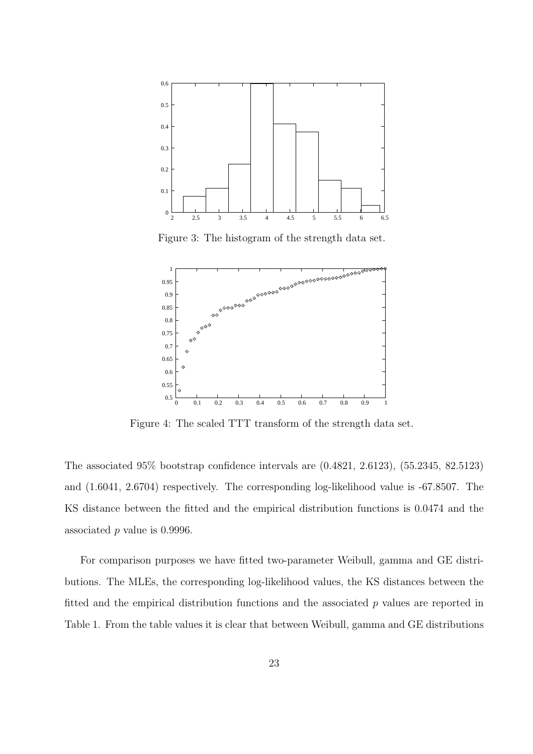

Figure 3: The histogram of the strength data set.



Figure 4: The scaled TTT transform of the strength data set.

The associated 95% bootstrap confidence intervals are (0.4821, 2.6123), (55.2345, 82.5123) and (1.6041, 2.6704) respectively. The corresponding log-likelihood value is -67.8507. The KS distance between the fitted and the empirical distribution functions is 0.0474 and the associated p value is 0.9996.

For comparison purposes we have fitted two-parameter Weibull, gamma and GE distributions. The MLEs, the corresponding log-likelihood values, the KS distances between the fitted and the empirical distribution functions and the associated  $p$  values are reported in Table 1. From the table values it is clear that between Weibull, gamma and GE distributions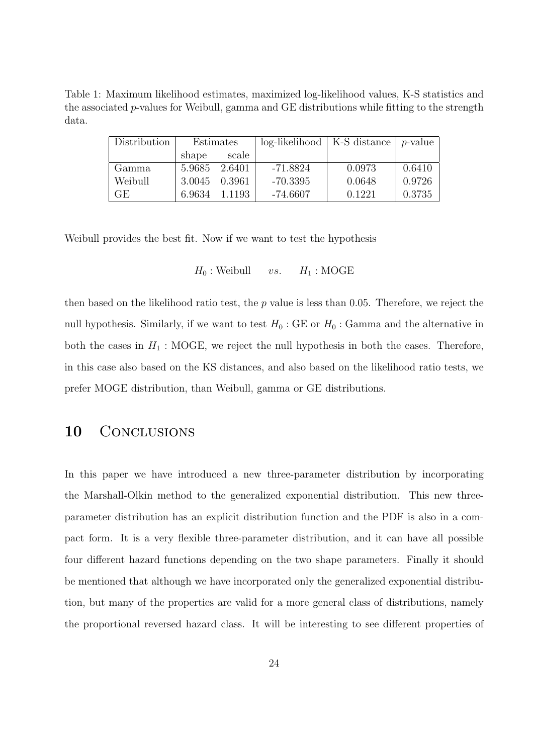Table 1: Maximum likelihood estimates, maximized log-likelihood values, K-S statistics and the associated p-values for Weibull, gamma and GE distributions while fitting to the strength data.

| Distribution | Estimates |        | $log-likelihood \mid K-S$ distance $ p$ -value |        |        |
|--------------|-----------|--------|------------------------------------------------|--------|--------|
|              | shape     | scale  |                                                |        |        |
| Gamma        | 5.9685    | 2.6401 | $-71.8824$                                     | 0.0973 | 0.6410 |
| Weibull      | 3.0045    | 0.3961 | $-70.3395$                                     | 0.0648 | 0.9726 |
| GE.          | 6.9634    | 1.1193 | $-74.6607$                                     | 0.1221 | 0.3735 |

Weibull provides the best fit. Now if we want to test the hypothesis

$$
H_0
$$
: Weibull *vs.*  $H_1$ : MOGE

then based on the likelihood ratio test, the  $p$  value is less than 0.05. Therefore, we reject the null hypothesis. Similarly, if we want to test  $H_0$ : GE or  $H_0$ : Gamma and the alternative in both the cases in  $H_1$ : MOGE, we reject the null hypothesis in both the cases. Therefore, in this case also based on the KS distances, and also based on the likelihood ratio tests, we prefer MOGE distribution, than Weibull, gamma or GE distributions.

### 10 CONCLUSIONS

In this paper we have introduced a new three-parameter distribution by incorporating the Marshall-Olkin method to the generalized exponential distribution. This new threeparameter distribution has an explicit distribution function and the PDF is also in a compact form. It is a very flexible three-parameter distribution, and it can have all possible four different hazard functions depending on the two shape parameters. Finally it should be mentioned that although we have incorporated only the generalized exponential distribution, but many of the properties are valid for a more general class of distributions, namely the proportional reversed hazard class. It will be interesting to see different properties of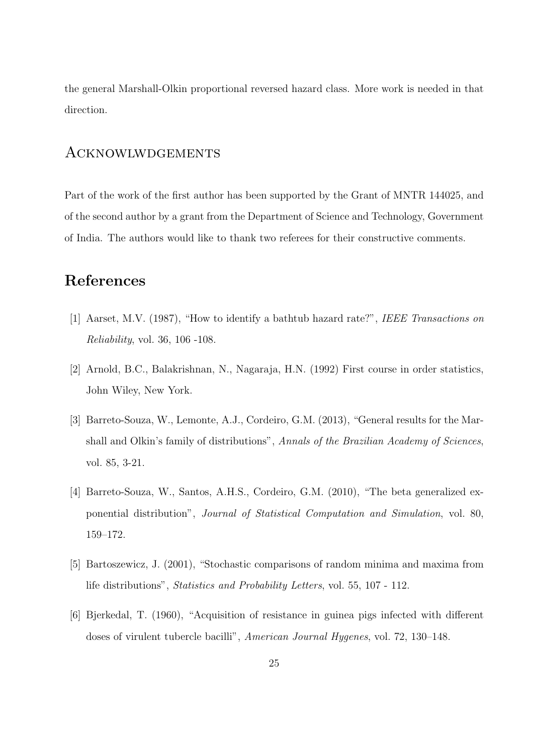the general Marshall-Olkin proportional reversed hazard class. More work is needed in that direction.

### Acknowlwdgements

Part of the work of the first author has been supported by the Grant of MNTR 144025, and of the second author by a grant from the Department of Science and Technology, Government of India. The authors would like to thank two referees for their constructive comments.

## References

- [1] Aarset, M.V. (1987), "How to identify a bathtub hazard rate?", IEEE Transactions on Reliability, vol. 36, 106 -108.
- [2] Arnold, B.C., Balakrishnan, N., Nagaraja, H.N. (1992) First course in order statistics, John Wiley, New York.
- [3] Barreto-Souza, W., Lemonte, A.J., Cordeiro, G.M. (2013), "General results for the Marshall and Olkin's family of distributions", Annals of the Brazilian Academy of Sciences, vol. 85, 3-21.
- [4] Barreto-Souza, W., Santos, A.H.S., Cordeiro, G.M. (2010), "The beta generalized exponential distribution", Journal of Statistical Computation and Simulation, vol. 80, 159–172.
- [5] Bartoszewicz, J. (2001), "Stochastic comparisons of random minima and maxima from life distributions", Statistics and Probability Letters, vol. 55, 107 - 112.
- [6] Bjerkedal, T. (1960), "Acquisition of resistance in guinea pigs infected with different doses of virulent tubercle bacilli", American Journal Hygenes, vol. 72, 130–148.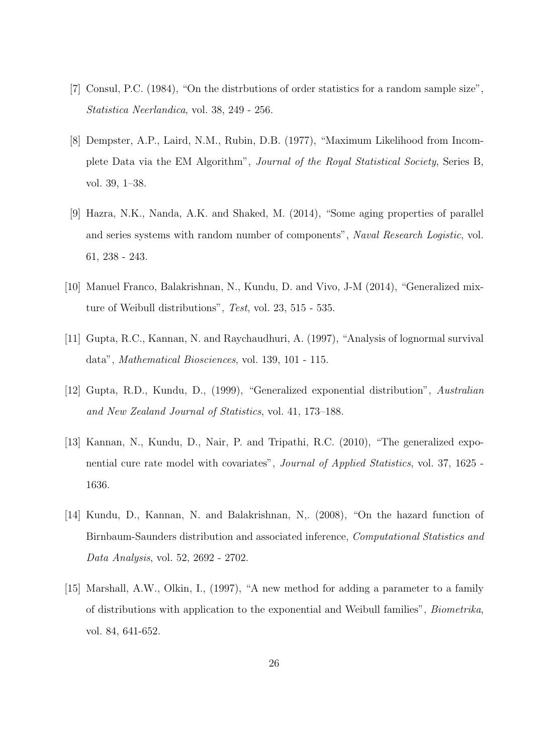- [7] Consul, P.C. (1984), "On the distrbutions of order statistics for a random sample size", Statistica Neerlandica, vol. 38, 249 - 256.
- [8] Dempster, A.P., Laird, N.M., Rubin, D.B. (1977), "Maximum Likelihood from Incomplete Data via the EM Algorithm", Journal of the Royal Statistical Society, Series B, vol. 39, 1–38.
- [9] Hazra, N.K., Nanda, A.K. and Shaked, M. (2014), "Some aging properties of parallel and series systems with random number of components", Naval Research Logistic, vol. 61, 238 - 243.
- [10] Manuel Franco, Balakrishnan, N., Kundu, D. and Vivo, J-M (2014), "Generalized mixture of Weibull distributions", Test, vol. 23, 515 - 535.
- [11] Gupta, R.C., Kannan, N. and Raychaudhuri, A. (1997), "Analysis of lognormal survival data", Mathematical Biosciences, vol. 139, 101 - 115.
- [12] Gupta, R.D., Kundu, D., (1999), "Generalized exponential distribution", Australian and New Zealand Journal of Statistics, vol. 41, 173–188.
- [13] Kannan, N., Kundu, D., Nair, P. and Tripathi, R.C. (2010), "The generalized exponential cure rate model with covariates", Journal of Applied Statistics, vol. 37, 1625 - 1636.
- [14] Kundu, D., Kannan, N. and Balakrishnan, N,. (2008), "On the hazard function of Birnbaum-Saunders distribution and associated inference, Computational Statistics and Data Analysis, vol. 52, 2692 - 2702.
- [15] Marshall, A.W., Olkin, I., (1997), "A new method for adding a parameter to a family of distributions with application to the exponential and Weibull families", Biometrika, vol. 84, 641-652.